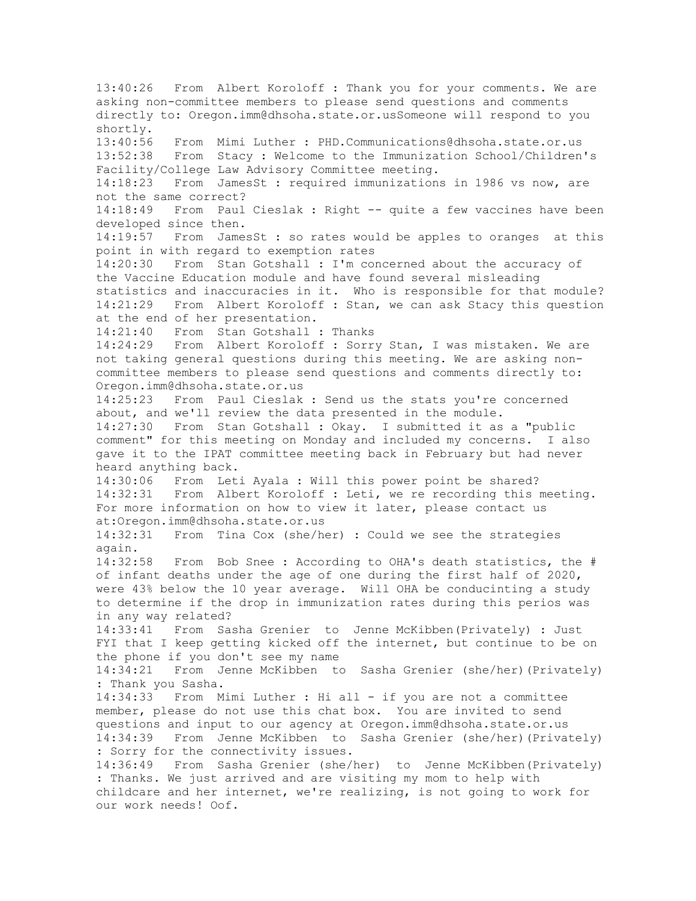13:40:26 From Albert Koroloff : Thank you for your comments. We are asking non-committee members to please send questions and comments directly to: Oregon.imm@dhsoha.state.or.usSomeone will respond to you shortly.<br>13:40:56 13:40:56 From Mimi Luther : PHD.Communications@dhsoha.state.or.us 13:52:38 From Stacy : Welcome to the Immunization School/Children's Facility/College Law Advisory Committee meeting.<br>14:18:23 From JamesSt : required immunization From JamesSt : required immunizations in 1986 vs now, are not the same correct? 14:18:49 From Paul Cieslak : Right -- quite a few vaccines have been developed since then. 14:19:57 From JamesSt : so rates would be apples to oranges at this point in with regard to exemption rates 14:20:30 From Stan Gotshall : I'm concerned about the accuracy of the Vaccine Education module and have found several misleading statistics and inaccuracies in it. Who is responsible for that module? 14:21:29 From Albert Koroloff : Stan, we can ask Stacy this question at the end of her presentation. 14:21:40 From Stan Gotshall : Thanks 14:24:29 From Albert Koroloff : Sorry Stan, I was mistaken. We are not taking general questions during this meeting. We are asking noncommittee members to please send questions and comments directly to: Oregon.imm@dhsoha.state.or.us<br>14:25:23 From Paul Cieslak From Paul Cieslak : Send us the stats you're concerned about, and we'll review the data presented in the module.<br>14:27:30 From Stan Gotshall : Okay. I submitted it as From Stan Gotshall : Okay. I submitted it as a "public comment" for this meeting on Monday and included my concerns. I also gave it to the IPAT committee meeting back in February but had never heard anything back. 14:30:06 From Leti Ayala : Will this power point be shared?<br>14:32:31 From Albert Koroloff : Leti, we re recording this i From Albert Koroloff : Leti, we re recording this meeting. For more information on how to view it later, please contact us at:Oregon.imm@dhsoha.state.or.us 14:32:31 From Tina Cox (she/her) : Could we see the strategies again. 14:32:58 From Bob Snee : According to OHA's death statistics, the # of infant deaths under the age of one during the first half of 2020, were 43% below the 10 year average. Will OHA be conducinting a study to determine if the drop in immunization rates during this perios was in any way related? 14:33:41 From Sasha Grenier to Jenne McKibben(Privately) : Just FYI that I keep getting kicked off the internet, but continue to be on the phone if you don't see my name 14:34:21 From Jenne McKibben to Sasha Grenier (she/her)(Privately) : Thank you Sasha. 14:34:33 From Mimi Luther : Hi all - if you are not a committee member, please do not use this chat box. You are invited to send questions and input to our agency at Oregon.imm@dhsoha.state.or.us 14:34:39 From Jenne McKibben to Sasha Grenier (she/her)(Privately) : Sorry for the connectivity issues. 14:36:49 From Sasha Grenier (she/her) to Jenne McKibben(Privately) : Thanks. We just arrived and are visiting my mom to help with childcare and her internet, we're realizing, is not going to work for our work needs! Oof.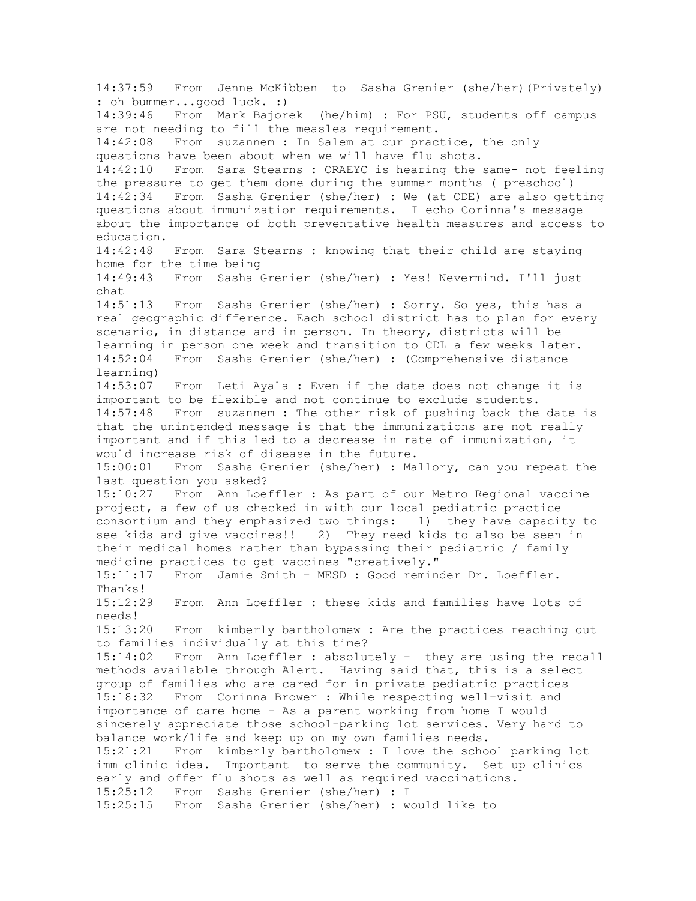14:37:59 From Jenne McKibben to Sasha Grenier (she/her)(Privately) : oh bummer...good luck. :) 14:39:46 From Mark Bajorek (he/him) : For PSU, students off campus are not needing to fill the measles requirement. 14:42:08 From suzannem : In Salem at our practice, the only questions have been about when we will have flu shots. 14:42:10 From Sara Stearns : ORAEYC is hearing the same- not feeling the pressure to get them done during the summer months ( preschool) 14:42:34 From Sasha Grenier (she/her) : We (at ODE) are also getting questions about immunization requirements. I echo Corinna's message about the importance of both preventative health measures and access to education. 14:42:48 From Sara Stearns : knowing that their child are staying home for the time being 14:49:43 From Sasha Grenier (she/her) : Yes! Nevermind. I'll just chat 14:51:13 From Sasha Grenier (she/her) : Sorry. So yes, this has a real geographic difference. Each school district has to plan for every scenario, in distance and in person. In theory, districts will be learning in person one week and transition to CDL a few weeks later. 14:52:04 From Sasha Grenier (she/her) : (Comprehensive distance learning) 14:53:07 From Leti Ayala : Even if the date does not change it is important to be flexible and not continue to exclude students. 14:57:48 From suzannem : The other risk of pushing back the date is that the unintended message is that the immunizations are not really important and if this led to a decrease in rate of immunization, it would increase risk of disease in the future.<br>15:00:01 From Sasha Grenier (she/her) : Ma From Sasha Grenier (she/her) : Mallory, can you repeat the last question you asked? 15:10:27 From Ann Loeffler : As part of our Metro Regional vaccine project, a few of us checked in with our local pediatric practice consortium and they emphasized two things: 1) they have capacity to see kids and give vaccines!! 2) They need kids to also be seen in their medical homes rather than bypassing their pediatric / family medicine practices to get vaccines "creatively." 15:11:17 From Jamie Smith - MESD : Good reminder Dr. Loeffler. Thanks! 15:12:29 From Ann Loeffler : these kids and families have lots of needs! 15:13:20 From kimberly bartholomew : Are the practices reaching out to families individually at this time? 15:14:02 From Ann Loeffler : absolutely - they are using the recall methods available through Alert. Having said that, this is a select group of families who are cared for in private pediatric practices 15:18:32 From Corinna Brower : While respecting well-visit and importance of care home - As a parent working from home I would sincerely appreciate those school-parking lot services. Very hard to balance work/life and keep up on my own families needs. 15:21:21 From kimberly bartholomew : I love the school parking lot imm clinic idea. Important to serve the community. Set up clinics early and offer flu shots as well as required vaccinations. 15:25:12 From Sasha Grenier (she/her) : I 15:25:15 From Sasha Grenier (she/her) : would like to